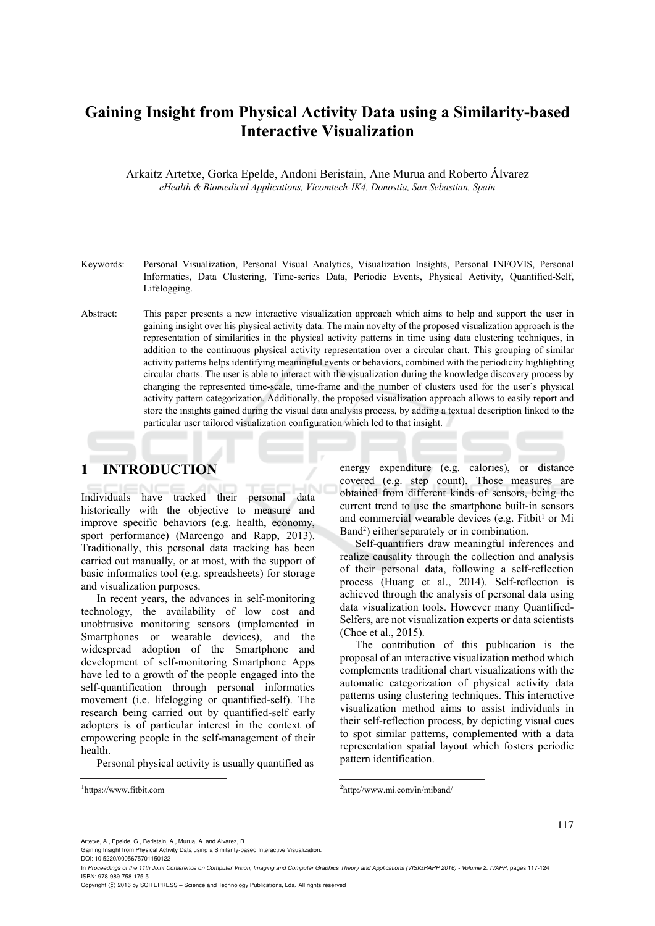# **Gaining Insight from Physical Activity Data using a Similarity-based Interactive Visualization**

Arkaitz Artetxe, Gorka Epelde, Andoni Beristain, Ane Murua and Roberto Álvarez *eHealth & Biomedical Applications, Vicomtech-IK4, Donostia, San Sebastian, Spain* 

- Keywords: Personal Visualization, Personal Visual Analytics, Visualization Insights, Personal INFOVIS, Personal Informatics, Data Clustering, Time-series Data, Periodic Events, Physical Activity, Quantified-Self, Lifelogging.
- Abstract: This paper presents a new interactive visualization approach which aims to help and support the user in gaining insight over his physical activity data. The main novelty of the proposed visualization approach is the representation of similarities in the physical activity patterns in time using data clustering techniques, in addition to the continuous physical activity representation over a circular chart. This grouping of similar activity patterns helps identifying meaningful events or behaviors, combined with the periodicity highlighting circular charts. The user is able to interact with the visualization during the knowledge discovery process by changing the represented time-scale, time-frame and the number of clusters used for the user's physical activity pattern categorization. Additionally, the proposed visualization approach allows to easily report and store the insights gained during the visual data analysis process, by adding a textual description linked to the particular user tailored visualization configuration which led to that insight.

# **1 INTRODUCTION**

Individuals have tracked their personal data historically with the objective to measure and improve specific behaviors (e.g. health, economy, sport performance) (Marcengo and Rapp, 2013). Traditionally, this personal data tracking has been carried out manually, or at most, with the support of basic informatics tool (e.g. spreadsheets) for storage and visualization purposes.

In recent years, the advances in self-monitoring technology, the availability of low cost and unobtrusive monitoring sensors (implemented in Smartphones or wearable devices), and the widespread adoption of the Smartphone and development of self-monitoring Smartphone Apps have led to a growth of the people engaged into the self-quantification through personal informatics movement (i.e. lifelogging or quantified-self). The research being carried out by quantified-self early adopters is of particular interest in the context of empowering people in the self-management of their health.

Personal physical activity is usually quantified as

1https://www.fitbit.com

energy expenditure (e.g. calories), or distance covered (e.g. step count). Those measures are obtained from different kinds of sensors, being the current trend to use the smartphone built-in sensors and commercial wearable devices (e.g. Fitbit<sup>1</sup> or Mi Band2) either separately or in combination.

Self-quantifiers draw meaningful inferences and realize causality through the collection and analysis of their personal data, following a self-reflection process (Huang et al., 2014). Self-reflection is achieved through the analysis of personal data using data visualization tools. However many Quantified-Selfers, are not visualization experts or data scientists (Choe et al., 2015).

The contribution of this publication is the proposal of an interactive visualization method which complements traditional chart visualizations with the automatic categorization of physical activity data patterns using clustering techniques. This interactive visualization method aims to assist individuals in their self-reflection process, by depicting visual cues to spot similar patterns, complemented with a data representation spatial layout which fosters periodic pattern identification.

In *Proceedings of the 11th Joint Conference on Computer Vision, Imaging and Computer Graphics Theory and Applications (VISIGRAPP 2016) - Volume 2: IVAPP*, pages 117-124 ISBN: 978-989-758-175-5

Copyright © 2016 by SCITEPRESS - Science and Technology Publications, Lda. All rights reserved

<sup>2</sup>http://www.mi.com/in/miband/

Artetxe, A., Epelde, G., Beristain, A., Murua, A. and Álvarez, R.

Gaining Insight from Physical Activity Data using a Similarity-based Interactive Visualization. DOI: 10.5220/0005675701150122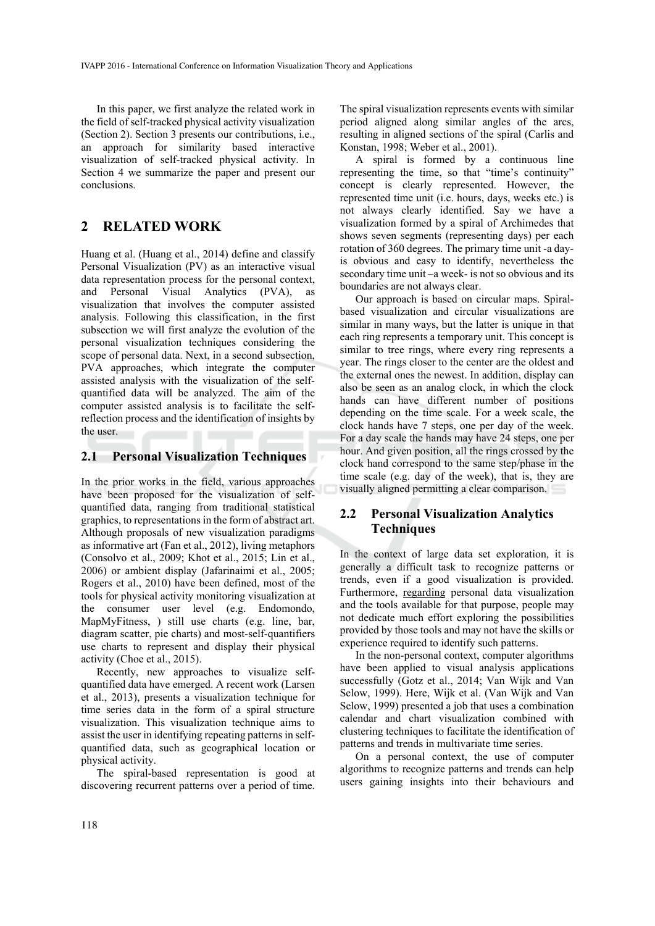In this paper, we first analyze the related work in the field of self-tracked physical activity visualization (Section 2). Section 3 presents our contributions, i.e., an approach for similarity based interactive visualization of self-tracked physical activity. In Section 4 we summarize the paper and present our conclusions.

# **2 RELATED WORK**

Huang et al. (Huang et al., 2014) define and classify Personal Visualization (PV) as an interactive visual data representation process for the personal context, and Personal Visual Analytics (PVA), as visualization that involves the computer assisted analysis. Following this classification, in the first subsection we will first analyze the evolution of the personal visualization techniques considering the scope of personal data. Next, in a second subsection, PVA approaches, which integrate the computer assisted analysis with the visualization of the selfquantified data will be analyzed. The aim of the computer assisted analysis is to facilitate the selfreflection process and the identification of insights by the user.

#### **2.1 Personal Visualization Techniques**

In the prior works in the field, various approaches have been proposed for the visualization of selfquantified data, ranging from traditional statistical graphics, to representations in the form of abstract art. Although proposals of new visualization paradigms as informative art (Fan et al., 2012), living metaphors (Consolvo et al., 2009; Khot et al., 2015; Lin et al., 2006) or ambient display (Jafarinaimi et al., 2005; Rogers et al., 2010) have been defined, most of the tools for physical activity monitoring visualization at the consumer user level (e.g. Endomondo, MapMyFitness, ) still use charts (e.g. line, bar, diagram scatter, pie charts) and most-self-quantifiers use charts to represent and display their physical activity (Choe et al., 2015).

Recently, new approaches to visualize selfquantified data have emerged. A recent work (Larsen et al., 2013), presents a visualization technique for time series data in the form of a spiral structure visualization. This visualization technique aims to assist the user in identifying repeating patterns in selfquantified data, such as geographical location or physical activity.

The spiral-based representation is good at discovering recurrent patterns over a period of time.

The spiral visualization represents events with similar period aligned along similar angles of the arcs, resulting in aligned sections of the spiral (Carlis and Konstan, 1998; Weber et al., 2001).

A spiral is formed by a continuous line representing the time, so that "time's continuity" concept is clearly represented. However, the represented time unit (i.e. hours, days, weeks etc.) is not always clearly identified. Say we have a visualization formed by a spiral of Archimedes that shows seven segments (representing days) per each rotation of 360 degrees. The primary time unit -a dayis obvious and easy to identify, nevertheless the secondary time unit –a week- is not so obvious and its boundaries are not always clear.

Our approach is based on circular maps. Spiralbased visualization and circular visualizations are similar in many ways, but the latter is unique in that each ring represents a temporary unit. This concept is similar to tree rings, where every ring represents a year. The rings closer to the center are the oldest and the external ones the newest. In addition, display can also be seen as an analog clock, in which the clock hands can have different number of positions depending on the time scale. For a week scale, the clock hands have 7 steps, one per day of the week. For a day scale the hands may have 24 steps, one per hour. And given position, all the rings crossed by the clock hand correspond to the same step/phase in the time scale (e.g. day of the week), that is, they are visually aligned permitting a clear comparison.

### **2.2 Personal Visualization Analytics Techniques**

In the context of large data set exploration, it is generally a difficult task to recognize patterns or trends, even if a good visualization is provided. Furthermore, regarding personal data visualization and the tools available for that purpose, people may not dedicate much effort exploring the possibilities provided by those tools and may not have the skills or experience required to identify such patterns.

In the non-personal context, computer algorithms have been applied to visual analysis applications successfully (Gotz et al., 2014; Van Wijk and Van Selow, 1999). Here, Wijk et al. (Van Wijk and Van Selow, 1999) presented a job that uses a combination calendar and chart visualization combined with clustering techniques to facilitate the identification of patterns and trends in multivariate time series.

On a personal context, the use of computer algorithms to recognize patterns and trends can help users gaining insights into their behaviours and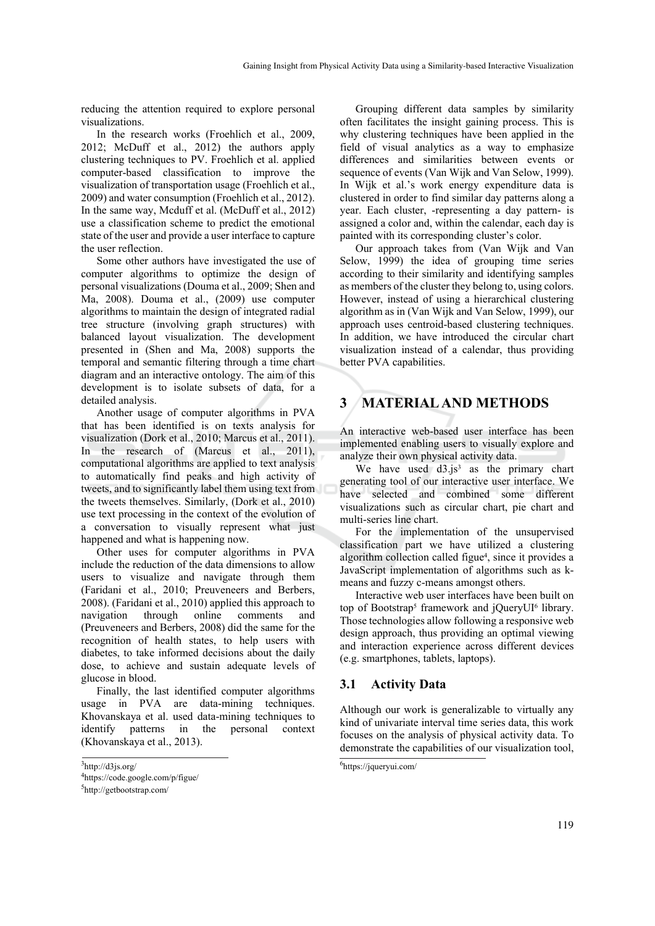reducing the attention required to explore personal visualizations.

In the research works (Froehlich et al., 2009, 2012; McDuff et al., 2012) the authors apply clustering techniques to PV. Froehlich et al. applied computer-based classification to improve the visualization of transportation usage (Froehlich et al., 2009) and water consumption (Froehlich et al., 2012). In the same way, Mcduff et al. (McDuff et al., 2012) use a classification scheme to predict the emotional state of the user and provide a user interface to capture the user reflection.

Some other authors have investigated the use of computer algorithms to optimize the design of personal visualizations (Douma et al., 2009; Shen and Ma, 2008). Douma et al., (2009) use computer algorithms to maintain the design of integrated radial tree structure (involving graph structures) with balanced layout visualization. The development presented in (Shen and Ma, 2008) supports the temporal and semantic filtering through a time chart diagram and an interactive ontology. The aim of this development is to isolate subsets of data, for a detailed analysis.

Another usage of computer algorithms in PVA that has been identified is on texts analysis for visualization (Dork et al., 2010; Marcus et al., 2011). In the research of (Marcus et al., 2011), computational algorithms are applied to text analysis to automatically find peaks and high activity of tweets, and to significantly label them using text from the tweets themselves. Similarly, (Dork et al., 2010) use text processing in the context of the evolution of a conversation to visually represent what just happened and what is happening now.

Other uses for computer algorithms in PVA include the reduction of the data dimensions to allow users to visualize and navigate through them (Faridani et al., 2010; Preuveneers and Berbers, 2008). (Faridani et al., 2010) applied this approach to navigation through online comments and (Preuveneers and Berbers, 2008) did the same for the recognition of health states, to help users with diabetes, to take informed decisions about the daily dose, to achieve and sustain adequate levels of glucose in blood.

Finally, the last identified computer algorithms usage in PVA are data-mining techniques. Khovanskaya et al. used data-mining techniques to identify patterns in the personal context (Khovanskaya et al., 2013).

Grouping different data samples by similarity often facilitates the insight gaining process. This is why clustering techniques have been applied in the field of visual analytics as a way to emphasize differences and similarities between events or sequence of events (Van Wijk and Van Selow, 1999). In Wijk et al.'s work energy expenditure data is clustered in order to find similar day patterns along a year. Each cluster, -representing a day pattern- is assigned a color and, within the calendar, each day is painted with its corresponding cluster's color.

Our approach takes from (Van Wijk and Van Selow, 1999) the idea of grouping time series according to their similarity and identifying samples as members of the cluster they belong to, using colors. However, instead of using a hierarchical clustering algorithm as in (Van Wijk and Van Selow, 1999), our approach uses centroid-based clustering techniques. In addition, we have introduced the circular chart visualization instead of a calendar, thus providing better PVA capabilities.

# **3 MATERIAL AND METHODS**

An interactive web-based user interface has been implemented enabling users to visually explore and analyze their own physical activity data.

We have used  $d3.$ js<sup>3</sup> as the primary chart generating tool of our interactive user interface. We have selected and combined some different visualizations such as circular chart, pie chart and multi-series line chart.

For the implementation of the unsupervised classification part we have utilized a clustering algorithm collection called figue<sup>4</sup>, since it provides a JavaScript implementation of algorithms such as kmeans and fuzzy c-means amongst others.

Interactive web user interfaces have been built on top of Bootstrap<sup>5</sup> framework and jOueryUI<sup>6</sup> library. Those technologies allow following a responsive web design approach, thus providing an optimal viewing and interaction experience across different devices (e.g. smartphones, tablets, laptops).

#### **3.1 Activity Data**

Although our work is generalizable to virtually any kind of univariate interval time series data, this work focuses on the analysis of physical activity data. To demonstrate the capabilities of our visualization tool,

<sup>3</sup> http://d3js.org/

<sup>4</sup>https://code.google.com/p/figue/

<sup>5</sup>http://getbootstrap.com/

<sup>6</sup> https://jqueryui.com/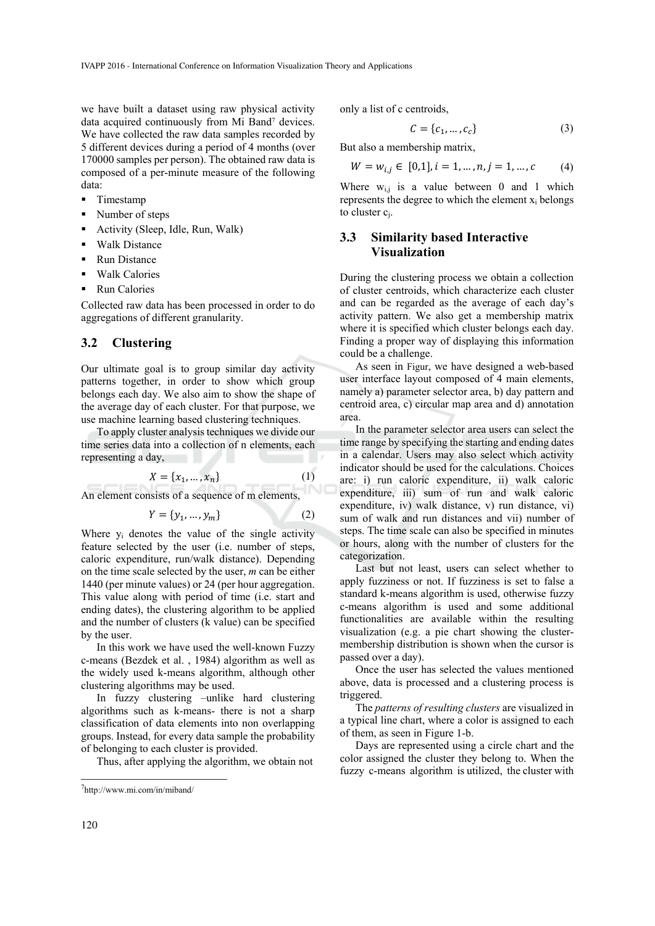we have built a dataset using raw physical activity data acquired continuously from Mi Band<sup>7</sup> devices. We have collected the raw data samples recorded by 5 different devices during a period of 4 months (over 170000 samples per person). The obtained raw data is composed of a per-minute measure of the following data:

- **Timestamp**
- Number of steps
- Activity (Sleep, Idle, Run, Walk)
- Walk Distance
- Run Distance
- **•** Walk Calories
- Run Calories

Collected raw data has been processed in order to do aggregations of different granularity.

#### **3.2 Clustering**

Our ultimate goal is to group similar day activity patterns together, in order to show which group belongs each day. We also aim to show the shape of the average day of each cluster. For that purpose, we use machine learning based clustering techniques.

To apply cluster analysis techniques we divide our time series data into a collection of n elements, each representing a day,

$$
X = \{x_1, ..., x_n\}
$$
 (1)

An element consists of a sequence of m elements,

$$
Y = \{y_1, \dots, y_m\} \tag{2}
$$

Where  $y_i$  denotes the value of the single activity feature selected by the user (i.e. number of steps, caloric expenditure, run/walk distance). Depending on the time scale selected by the user, *m* can be either 1440 (per minute values) or 24 (per hour aggregation. This value along with period of time (i.e. start and ending dates), the clustering algorithm to be applied and the number of clusters (k value) can be specified by the user.

In this work we have used the well-known Fuzzy c-means (Bezdek et al. , 1984) algorithm as well as the widely used k-means algorithm, although other clustering algorithms may be used.

In fuzzy clustering –unlike hard clustering algorithms such as k-means- there is not a sharp classification of data elements into non overlapping groups. Instead, for every data sample the probability of belonging to each cluster is provided.

Thus, after applying the algorithm, we obtain not

only a list of c centroids,

$$
C = \{c_1, \dots, c_c\} \tag{3}
$$

But also a membership matrix,

$$
W = w_{i,j} \in [0,1], i = 1, \dots, n, j = 1, \dots, c \tag{4}
$$

Where  $w_{i,j}$  is a value between 0 and 1 which represents the degree to which the element  $x_i$  belongs to cluster cj.

### **3.3 Similarity based Interactive Visualization**

During the clustering process we obtain a collection of cluster centroids, which characterize each cluster and can be regarded as the average of each day's activity pattern. We also get a membership matrix where it is specified which cluster belongs each day. Finding a proper way of displaying this information could be a challenge.

As seen in Figur, we have designed a web-based user interface layout composed of 4 main elements, namely a) parameter selector area, b) day pattern and centroid area, c) circular map area and d) annotation area.

In the parameter selector area users can select the time range by specifying the starting and ending dates in a calendar. Users may also select which activity indicator should be used for the calculations. Choices are: i) run caloric expenditure, ii) walk caloric expenditure, iii) sum of run and walk caloric expenditure, iv) walk distance, v) run distance, vi) sum of walk and run distances and vii) number of steps. The time scale can also be specified in minutes or hours, along with the number of clusters for the categorization.

Last but not least, users can select whether to apply fuzziness or not. If fuzziness is set to false a standard k-means algorithm is used, otherwise fuzzy c-means algorithm is used and some additional functionalities are available within the resulting visualization (e.g. a pie chart showing the clustermembership distribution is shown when the cursor is passed over a day).

Once the user has selected the values mentioned above, data is processed and a clustering process is triggered.

The *patterns of resulting clusters* are visualized in a typical line chart, where a color is assigned to each of them, as seen in Figure 1-b.

Days are represented using a circle chart and the color assigned the cluster they belong to. When the fuzzy c-means algorithm is utilized, the cluster with

<sup>7</sup>http://www.mi.com/in/miband/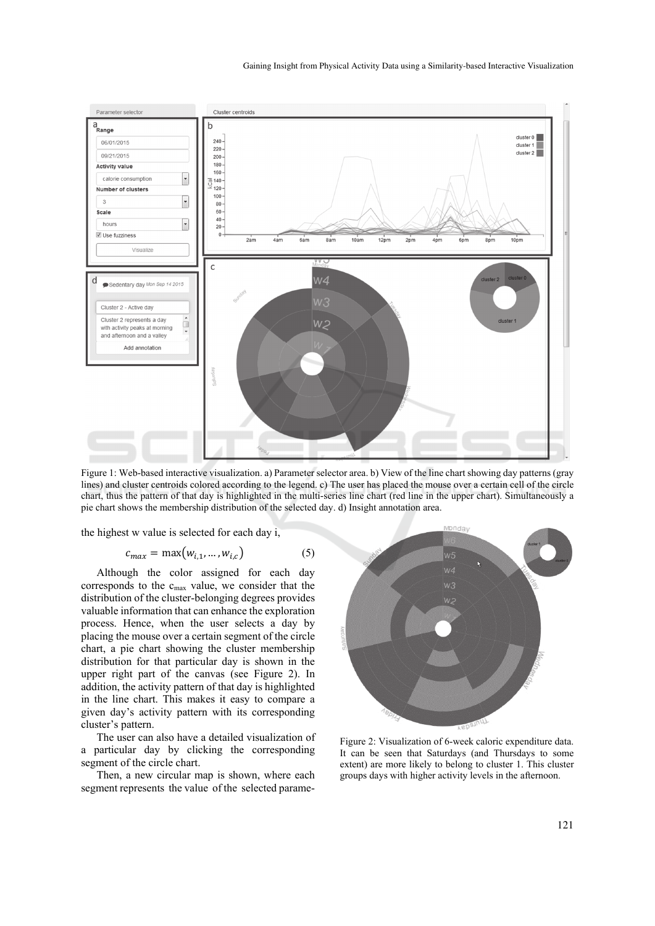

Figure 1: Web-based interactive visualization. a) Parameter selector area. b) View of the line chart showing day patterns (gray lines) and cluster centroids colored according to the legend. c) The user has placed the mouse over a certain cell of the circle chart, thus the pattern of that day is highlighted in the multi-series line chart (red line in the upper chart). Simultaneously a pie chart shows the membership distribution of the selected day. d) Insight annotation area.

the highest w value is selected for each day i,

$$
c_{max} = \max(w_{i,1}, \dots, w_{i,c})
$$
 (5)

Although the color assigned for each day corresponds to the cmax value, we consider that the distribution of the cluster-belonging degrees provides valuable information that can enhance the exploration process. Hence, when the user selects a day by placing the mouse over a certain segment of the circle chart, a pie chart showing the cluster membership distribution for that particular day is shown in the upper right part of the canvas (see Figure 2). In addition, the activity pattern of that day is highlighted in the line chart. This makes it easy to compare a given day's activity pattern with its corresponding cluster's pattern.

The user can also have a detailed visualization of a particular day by clicking the corresponding segment of the circle chart.

Then, a new circular map is shown, where each segment represents the value of the selected parame-



Figure 2: Visualization of 6-week caloric expenditure data. It can be seen that Saturdays (and Thursdays to some extent) are more likely to belong to cluster 1. This cluster groups days with higher activity levels in the afternoon.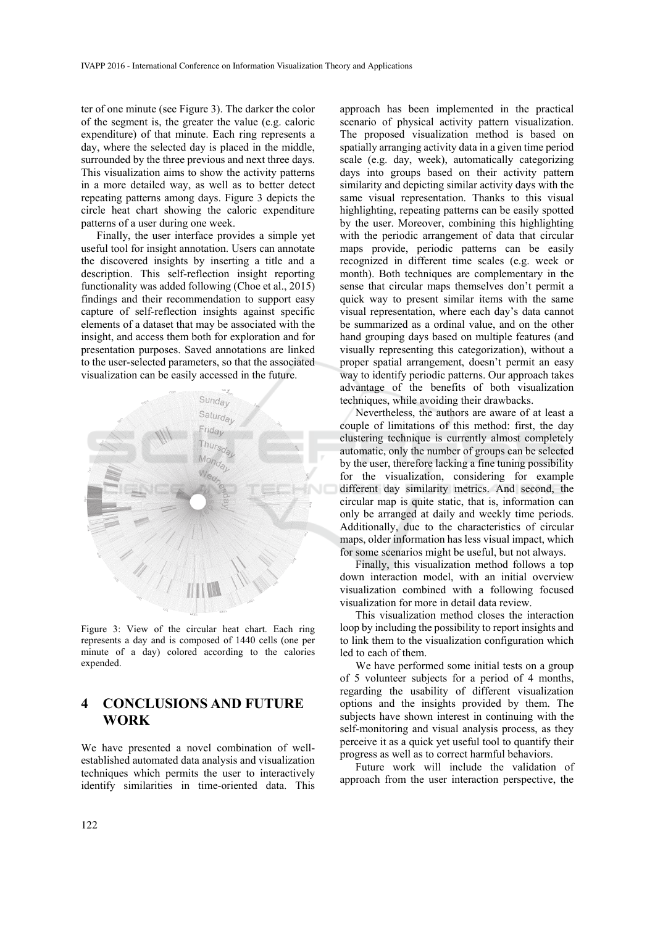ter of one minute (see Figure 3). The darker the color of the segment is, the greater the value (e.g. caloric expenditure) of that minute. Each ring represents a day, where the selected day is placed in the middle, surrounded by the three previous and next three days. This visualization aims to show the activity patterns in a more detailed way, as well as to better detect repeating patterns among days. Figure 3 depicts the circle heat chart showing the caloric expenditure patterns of a user during one week.

Finally, the user interface provides a simple yet useful tool for insight annotation. Users can annotate the discovered insights by inserting a title and a description. This self-reflection insight reporting functionality was added following (Choe et al., 2015) findings and their recommendation to support easy capture of self-reflection insights against specific elements of a dataset that may be associated with the insight, and access them both for exploration and for presentation purposes. Saved annotations are linked to the user-selected parameters, so that the associated visualization can be easily accessed in the future.



Figure 3: View of the circular heat chart. Each ring represents a day and is composed of 1440 cells (one per minute of a day) colored according to the calories expended.

## **4 CONCLUSIONS AND FUTURE WORK**

We have presented a novel combination of wellestablished automated data analysis and visualization techniques which permits the user to interactively identify similarities in time-oriented data. This

approach has been implemented in the practical scenario of physical activity pattern visualization. The proposed visualization method is based on spatially arranging activity data in a given time period scale (e.g. day, week), automatically categorizing days into groups based on their activity pattern similarity and depicting similar activity days with the same visual representation. Thanks to this visual highlighting, repeating patterns can be easily spotted by the user. Moreover, combining this highlighting with the periodic arrangement of data that circular maps provide, periodic patterns can be easily recognized in different time scales (e.g. week or month). Both techniques are complementary in the sense that circular maps themselves don't permit a quick way to present similar items with the same visual representation, where each day's data cannot be summarized as a ordinal value, and on the other hand grouping days based on multiple features (and visually representing this categorization), without a proper spatial arrangement, doesn't permit an easy way to identify periodic patterns. Our approach takes advantage of the benefits of both visualization techniques, while avoiding their drawbacks.

Nevertheless, the authors are aware of at least a couple of limitations of this method: first, the day clustering technique is currently almost completely automatic, only the number of groups can be selected by the user, therefore lacking a fine tuning possibility for the visualization, considering for example different day similarity metrics. And second, the circular map is quite static, that is, information can only be arranged at daily and weekly time periods. Additionally, due to the characteristics of circular maps, older information has less visual impact, which for some scenarios might be useful, but not always.

Finally, this visualization method follows a top down interaction model, with an initial overview visualization combined with a following focused visualization for more in detail data review.

This visualization method closes the interaction loop by including the possibility to report insights and to link them to the visualization configuration which led to each of them.

We have performed some initial tests on a group of 5 volunteer subjects for a period of 4 months, regarding the usability of different visualization options and the insights provided by them. The subjects have shown interest in continuing with the self-monitoring and visual analysis process, as they perceive it as a quick yet useful tool to quantify their progress as well as to correct harmful behaviors.

Future work will include the validation of approach from the user interaction perspective, the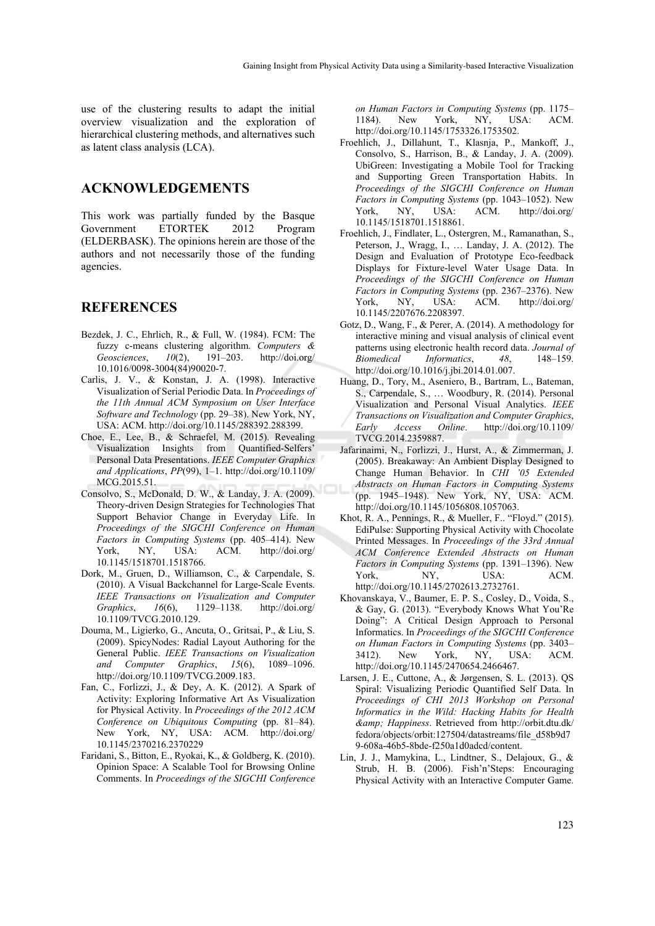use of the clustering results to adapt the initial overview visualization and the exploration of hierarchical clustering methods, and alternatives such as latent class analysis (LCA).

## **ACKNOWLEDGEMENTS**

This work was partially funded by the Basque Government ETORTEK 2012 Program (ELDERBASK). The opinions herein are those of the authors and not necessarily those of the funding agencies.

## **REFERENCES**

- Bezdek, J. C., Ehrlich, R., & Full, W. (1984). FCM: The fuzzy c-means clustering algorithm. *Computers & Geosciences*, *10*(2), 191–203. http://doi.org/ 10.1016/0098-3004(84)90020-7.
- Carlis, J. V., & Konstan, J. A. (1998). Interactive Visualization of Serial Periodic Data. In *Proceedings of the 11th Annual ACM Symposium on User Interface Software and Technology* (pp. 29–38). New York, NY, USA: ACM. http://doi.org/10.1145/288392.288399.
- Choe, E., Lee, B., & Schraefel, M. (2015). Revealing Visualization Insights from Quantified-Selfers' Personal Data Presentations. *IEEE Computer Graphics and Applications*, *PP*(99), 1–1. http://doi.org/10.1109/ MCG.2015.51.
- Consolvo, S., McDonald, D. W., & Landay, J. A. (2009). Theory-driven Design Strategies for Technologies That Support Behavior Change in Everyday Life. In *Proceedings of the SIGCHI Conference on Human Factors in Computing Systems* (pp. 405–414). New York, NY, USA: ACM. http://doi.org/ 10.1145/1518701.1518766.
- Dork, M., Gruen, D., Williamson, C., & Carpendale, S. (2010). A Visual Backchannel for Large-Scale Events. *IEEE Transactions on Visualization and Computer Graphics*, *16*(6), 1129–1138. http://doi.org/ 10.1109/TVCG.2010.129.
- Douma, M., Ligierko, G., Ancuta, O., Gritsai, P., & Liu, S. (2009). SpicyNodes: Radial Layout Authoring for the General Public. *IEEE Transactions on Visualization and Computer Graphics*, *15*(6), 1089–1096. http://doi.org/10.1109/TVCG.2009.183.
- Fan, C., Forlizzi, J., & Dey, A. K. (2012). A Spark of Activity: Exploring Informative Art As Visualization for Physical Activity. In *Proceedings of the 2012 ACM Conference on Ubiquitous Computing* (pp. 81–84). New York, NY, USA: ACM. http://doi.org/ 10.1145/2370216.2370229
- Faridani, S., Bitton, E., Ryokai, K., & Goldberg, K. (2010). Opinion Space: A Scalable Tool for Browsing Online Comments. In *Proceedings of the SIGCHI Conference*

*on Human Factors in Computing Systems* (pp. 1175– 1184). New York, NY, USA: ACM. http://doi.org/10.1145/1753326.1753502.

- Froehlich, J., Dillahunt, T., Klasnja, P., Mankoff, J., Consolvo, S., Harrison, B., & Landay, J. A. (2009). UbiGreen: Investigating a Mobile Tool for Tracking and Supporting Green Transportation Habits. In *Proceedings of the SIGCHI Conference on Human Factors in Computing Systems* (pp. 1043–1052). New York, NY, USA: ACM. http://doi.org/ 10.1145/1518701.1518861.
- Froehlich, J., Findlater, L., Ostergren, M., Ramanathan, S., Peterson, J., Wragg, I., … Landay, J. A. (2012). The Design and Evaluation of Prototype Eco-feedback Displays for Fixture-level Water Usage Data. In *Proceedings of the SIGCHI Conference on Human Factors in Computing Systems* (pp. 2367–2376). New York, NY, USA: ACM. http://doi.org/ 10.1145/2207676.2208397.
- Gotz, D., Wang, F., & Perer, A. (2014). A methodology for interactive mining and visual analysis of clinical event patterns using electronic health record data. *Journal of Biomedical Informatics*, *48*, 148–159. http://doi.org/10.1016/j.jbi.2014.01.007.
- Huang, D., Tory, M., Aseniero, B., Bartram, L., Bateman, S., Carpendale, S., … Woodbury, R. (2014). Personal Visualization and Personal Visual Analytics. *IEEE Transactions on Visualization and Computer Graphics*, *Early Access Online*. http://doi.org/10.1109/ TVCG.2014.2359887.
- Jafarinaimi, N., Forlizzi, J., Hurst, A., & Zimmerman, J. (2005). Breakaway: An Ambient Display Designed to Change Human Behavior. In *CHI '05 Extended Abstracts on Human Factors in Computing Systems* (pp. 1945–1948). New York, NY, USA: ACM. http://doi.org/10.1145/1056808.1057063.
- Khot, R. A., Pennings, R., & Mueller, F.. "Floyd." (2015). EdiPulse: Supporting Physical Activity with Chocolate Printed Messages. In *Proceedings of the 33rd Annual ACM Conference Extended Abstracts on Human Factors in Computing Systems* (pp. 1391–1396). New York, NY, USA: ACM. http://doi.org/10.1145/2702613.2732761.
- Khovanskaya, V., Baumer, E. P. S., Cosley, D., Voida, S., & Gay, G. (2013). "Everybody Knows What You'Re Doing": A Critical Design Approach to Personal Informatics. In *Proceedings of the SIGCHI Conference on Human Factors in Computing Systems* (pp. 3403– 3412). New York, NY, USA: ACM. http://doi.org/10.1145/2470654.2466467.
- Larsen, J. E., Cuttone, A., & Jørgensen, S. L. (2013). QS Spiral: Visualizing Periodic Quantified Self Data. In *Proceedings of CHI 2013 Workshop on Personal Informatics in the Wild: Hacking Habits for Health & Happiness*. Retrieved from http://orbit.dtu.dk/ fedora/objects/orbit:127504/datastreams/file\_d58b9d7 9-608a-46b5-8bde-f250a1d0adcd/content.
- Lin, J. J., Mamykina, L., Lindtner, S., Delajoux, G., & Strub, H. B. (2006). Fish'n'Steps: Encouraging Physical Activity with an Interactive Computer Game.